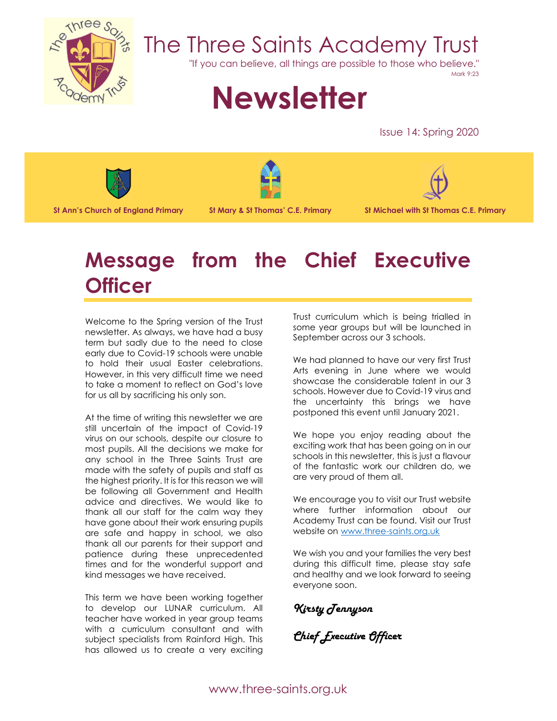

# The Three Saints Academy Trust

"If you can believe, all things are possible to those who believe."

Mark 9:23

# **Newsletter**

Issue 14: Spring 2020



**St Ann's Church of England Primary St Mary & St Thomas' C.E. Primary St Michael with St Thomas C.E. Primary** 





# **Message from the Chief Executive Officer**

Welcome to the Spring version of the Trust newsletter. As always, we have had a busy term but sadly due to the need to close early due to Covid-19 schools were unable to hold their usual Easter celebrations. However, in this very difficult time we need to take a moment to reflect on God's love for us all by sacrificing his only son.

At the time of writing this newsletter we are still uncertain of the impact of Covid-19 virus on our schools, despite our closure to most pupils. All the decisions we make for any school in the Three Saints Trust are made with the safety of pupils and staff as the highest priority. It is for this reason we will be following all Government and Health advice and directives. We would like to thank all our staff for the calm way they have gone about their work ensuring pupils are safe and happy in school, we also thank all our parents for their support and patience during these unprecedented times and for the wonderful support and kind messages we have received.

This term we have been working together to develop our LUNAR curriculum. All teacher have worked in year group teams with a curriculum consultant and with subject specialists from Rainford High. This has allowed us to create a very exciting

Trust curriculum which is being trialled in some year groups but will be launched in September across our 3 schools.

We had planned to have our very first Trust Arts evening in June where we would showcase the considerable talent in our 3 schools. However due to Covid-19 virus and the uncertainty this brings we have postponed this event until January 2021.

We hope you enjoy reading about the exciting work that has been going on in our schools in this newsletter, this is just a flavour of the fantastic work our children do, we are very proud of them all.

We encourage you to visit our Trust website where further information about our Academy Trust can be found. Visit our Trust website on www.three-saints.org.uk

We wish you and your families the very best during this difficult time, please stay safe and healthy and we look forward to seeing everyone soon.

*Kirsty Tennyson*

*Chief Executive Officer*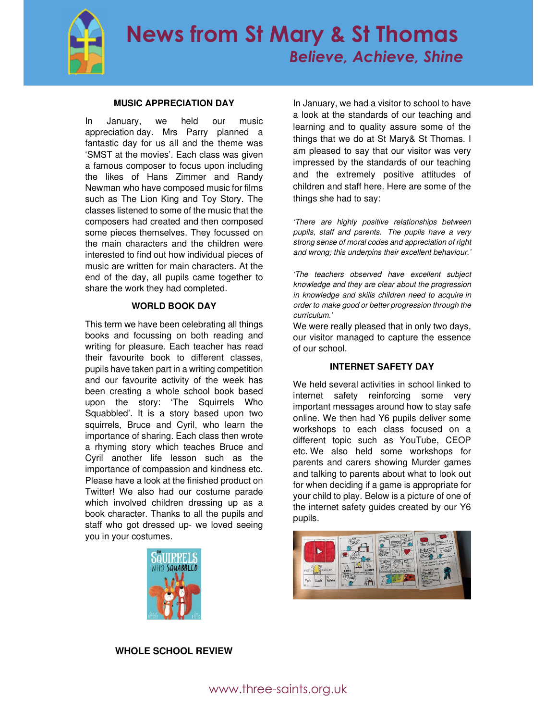

# **MUSIC APPRECIATION DAY**

In January, we held our music appreciation day. Mrs Parry planned a fantastic day for us all and the theme was 'SMST at the movies'. Each class was given a famous composer to focus upon including the likes of Hans Zimmer and Randy Newman who have composed music for films such as The Lion King and Toy Story. The classes listened to some of the music that the composers had created and then composed some pieces themselves. They focussed on the main characters and the children were interested to find out how individual pieces of music are written for main characters. At the end of the day, all pupils came together to share the work they had completed.

# **WORLD BOOK DAY**

This term we have been celebrating all things books and focussing on both reading and writing for pleasure. Each teacher has read their favourite book to different classes, pupils have taken part in a writing competition and our favourite activity of the week has been creating a whole school book based upon the story: 'The Squirrels Who Squabbled'. It is a story based upon two squirrels, Bruce and Cyril, who learn the importance of sharing. Each class then wrote a rhyming story which teaches Bruce and Cyril another life lesson such as the importance of compassion and kindness etc. Please have a look at the finished product on Twitter! We also had our costume parade which involved children dressing up as a book character. Thanks to all the pupils and staff who got dressed up- we loved seeing you in your costumes.



In January, we had a visitor to school to have a look at the standards of our teaching and learning and to quality assure some of the things that we do at St Mary& St Thomas. I am pleased to say that our visitor was very impressed by the standards of our teaching and the extremely positive attitudes of children and staff here. Here are some of the things she had to say:

'There are highly positive relationships between pupils, staff and parents. The pupils have a very strong sense of moral codes and appreciation of right and wrong; this underpins their excellent behaviour.'

'The teachers observed have excellent subject knowledge and they are clear about the progression in knowledge and skills children need to acquire in order to make good or better progression through the curriculum.'

We were really pleased that in only two days, our visitor managed to capture the essence of our school.

# **INTERNET SAFETY DAY**

We held several activities in school linked to internet safety reinforcing some very important messages around how to stay safe online. We then had Y6 pupils deliver some workshops to each class focused on a different topic such as YouTube, CEOP etc. We also held some workshops for parents and carers showing Murder games and talking to parents about what to look out for when deciding if a game is appropriate for your child to play. Below is a picture of one of the internet safety guides created by our Y6 pupils.



# **WHOLE SCHOOL REVIEW**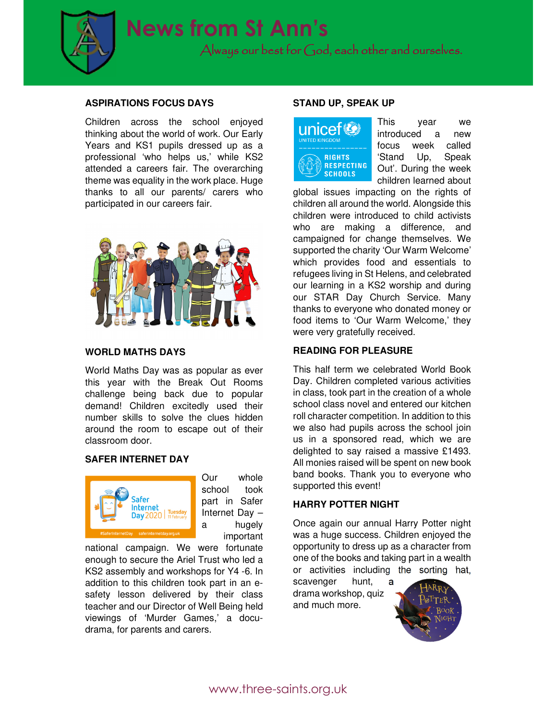

# **ASPIRATIONS FOCUS DAYS**

Children across the school enjoyed thinking about the world of work. Our Early Years and KS1 pupils dressed up as a professional 'who helps us,' while KS2 attended a careers fair. The overarching theme was equality in the work place. Huge thanks to all our parents/ carers who participated in our careers fair.



# **WORLD MATHS DAYS**

World Maths Day was as popular as ever this year with the Break Out Rooms challenge being back due to popular demand! Children excitedly used their number skills to solve the clues hidden around the room to escape out of their classroom door.

# **SAFER INTERNET DAY**



Our whole school took part in Safer Internet Day – a hugely important

national campaign. We were fortunate enough to secure the Ariel Trust who led a KS2 assembly and workshops for Y4 -6. In addition to this children took part in an esafety lesson delivered by their class teacher and our Director of Well Being held viewings of 'Murder Games,' a docudrama, for parents and carers.

### **STAND UP, SPEAK UP**



This year we introduced a new focus week called 'Stand Up, Speak Out'. During the week children learned about

global issues impacting on the rights of children all around the world. Alongside this children were introduced to child activists who are making a difference, and campaigned for change themselves. We supported the charity 'Our Warm Welcome' which provides food and essentials to refugees living in St Helens, and celebrated our learning in a KS2 worship and during our STAR Day Church Service. Many thanks to everyone who donated money or food items to 'Our Warm Welcome,' they were very gratefully received.

# **READING FOR PLEASURE**

This half term we celebrated World Book Day. Children completed various activities in class, took part in the creation of a whole school class novel and entered our kitchen roll character competition. In addition to this we also had pupils across the school join us in a sponsored read, which we are delighted to say raised a massive £1493. All monies raised will be spent on new book band books. Thank you to everyone who supported this event!

#### **HARRY POTTER NIGHT**

Once again our annual Harry Potter night was a huge success. Children enjoyed the opportunity to dress up as a character from one of the books and taking part in a wealth or activities including the sorting hat,

scavenger hunt, drama workshop, quiz and much more.